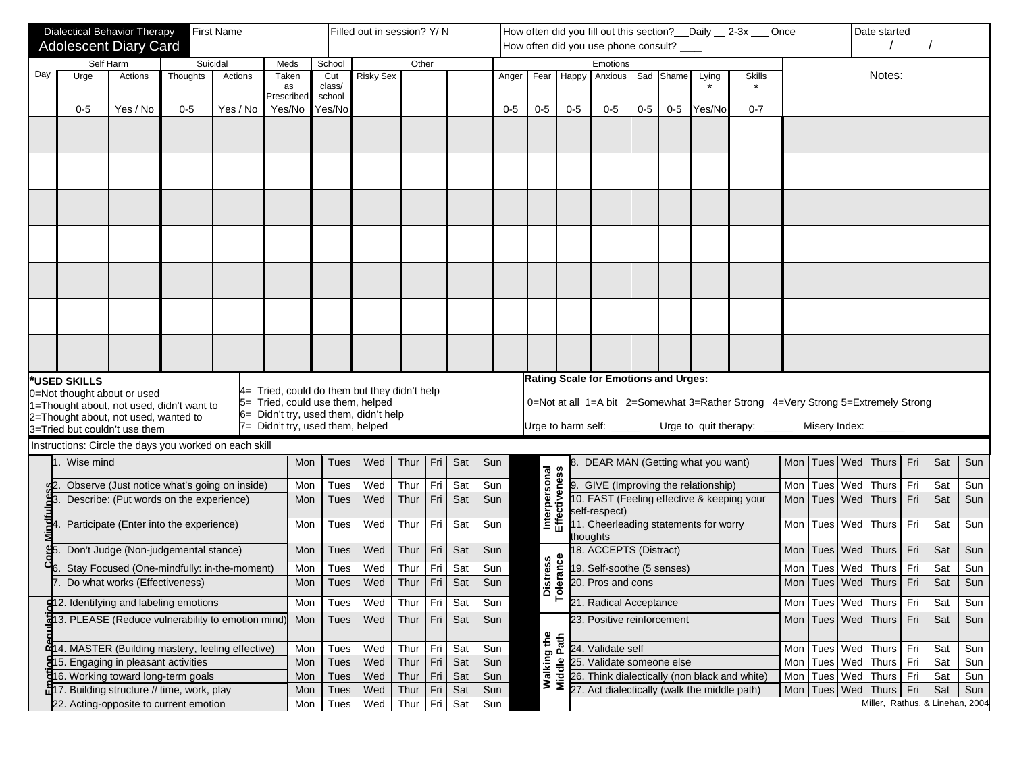| <b>Dialectical Behavior Therapy</b><br><b>First Name</b><br><b>Adolescent Diary Card</b><br>Self Harm<br>Suicidal<br>Meds<br>Day<br>Thoughts<br>Urge<br>Actions<br>Actions<br>Taken<br>as<br>Prescribed<br>$0 - 5$<br>Yes / No<br>$0 - 5$<br>Yes / No<br>Yes/No |                                                                                   |                                 |                                              |  |     |                                                                                  | Filled out in session? Y/ N |              |             |     |       |                                      | How often did you fill out this section? __ Daily __ 2-3x __ Once<br>Date started |                                                        |       |           |        |                                                                                  |     |               |  |                                 |     |     |     |
|-----------------------------------------------------------------------------------------------------------------------------------------------------------------------------------------------------------------------------------------------------------------|-----------------------------------------------------------------------------------|---------------------------------|----------------------------------------------|--|-----|----------------------------------------------------------------------------------|-----------------------------|--------------|-------------|-----|-------|--------------------------------------|-----------------------------------------------------------------------------------|--------------------------------------------------------|-------|-----------|--------|----------------------------------------------------------------------------------|-----|---------------|--|---------------------------------|-----|-----|-----|
|                                                                                                                                                                                                                                                                 |                                                                                   |                                 |                                              |  |     |                                                                                  |                             |              |             |     |       | How often did you use phone consult? |                                                                                   |                                                        |       |           |        |                                                                                  |     |               |  |                                 |     |     |     |
|                                                                                                                                                                                                                                                                 |                                                                                   |                                 |                                              |  |     | School                                                                           |                             | Other        |             |     |       |                                      |                                                                                   | Emotions                                               |       |           |        |                                                                                  |     |               |  |                                 |     |     |     |
|                                                                                                                                                                                                                                                                 |                                                                                   |                                 |                                              |  |     | Cut<br>class/<br>school                                                          | <b>Risky Sex</b>            |              |             |     | Anger | Fear                                 | Happy                                                                             | Anxious                                                |       | Sad Shame | Lying  | <b>Skills</b><br>$\star$                                                         |     |               |  | Notes:                          |     |     |     |
|                                                                                                                                                                                                                                                                 |                                                                                   |                                 |                                              |  |     | Yes/No                                                                           |                             |              |             |     | $0-5$ | $0-5$                                | $0-5$                                                                             | $0-5$                                                  | $0-5$ | $0-5$     | Yes/No | $0 - 7$                                                                          |     |               |  |                                 |     |     |     |
|                                                                                                                                                                                                                                                                 |                                                                                   |                                 |                                              |  |     |                                                                                  |                             |              |             |     |       |                                      |                                                                                   |                                                        |       |           |        |                                                                                  |     |               |  |                                 |     |     |     |
|                                                                                                                                                                                                                                                                 |                                                                                   |                                 |                                              |  |     |                                                                                  |                             |              |             |     |       |                                      |                                                                                   |                                                        |       |           |        |                                                                                  |     |               |  |                                 |     |     |     |
|                                                                                                                                                                                                                                                                 |                                                                                   |                                 |                                              |  |     |                                                                                  |                             |              |             |     |       |                                      |                                                                                   |                                                        |       |           |        |                                                                                  |     |               |  |                                 |     |     |     |
|                                                                                                                                                                                                                                                                 |                                                                                   |                                 |                                              |  |     |                                                                                  |                             |              |             |     |       |                                      |                                                                                   |                                                        |       |           |        |                                                                                  |     |               |  |                                 |     |     |     |
|                                                                                                                                                                                                                                                                 |                                                                                   |                                 |                                              |  |     |                                                                                  |                             |              |             |     |       |                                      |                                                                                   |                                                        |       |           |        |                                                                                  |     |               |  |                                 |     |     |     |
|                                                                                                                                                                                                                                                                 |                                                                                   |                                 |                                              |  |     |                                                                                  |                             |              |             |     |       |                                      |                                                                                   |                                                        |       |           |        |                                                                                  |     |               |  |                                 |     |     |     |
|                                                                                                                                                                                                                                                                 |                                                                                   |                                 |                                              |  |     |                                                                                  |                             |              |             |     |       |                                      |                                                                                   |                                                        |       |           |        |                                                                                  |     |               |  |                                 |     |     |     |
|                                                                                                                                                                                                                                                                 |                                                                                   |                                 |                                              |  |     |                                                                                  |                             |              |             |     |       |                                      |                                                                                   |                                                        |       |           |        |                                                                                  |     |               |  |                                 |     |     |     |
|                                                                                                                                                                                                                                                                 |                                                                                   |                                 |                                              |  |     |                                                                                  |                             |              |             |     |       |                                      |                                                                                   |                                                        |       |           |        |                                                                                  |     |               |  |                                 |     |     |     |
|                                                                                                                                                                                                                                                                 |                                                                                   |                                 |                                              |  |     |                                                                                  |                             |              |             |     |       |                                      |                                                                                   |                                                        |       |           |        |                                                                                  |     |               |  |                                 |     |     |     |
|                                                                                                                                                                                                                                                                 |                                                                                   |                                 |                                              |  |     |                                                                                  |                             |              |             |     |       |                                      |                                                                                   |                                                        |       |           |        |                                                                                  |     |               |  |                                 |     |     |     |
|                                                                                                                                                                                                                                                                 |                                                                                   |                                 |                                              |  |     |                                                                                  |                             |              |             |     |       |                                      |                                                                                   |                                                        |       |           |        |                                                                                  |     |               |  |                                 |     |     |     |
|                                                                                                                                                                                                                                                                 |                                                                                   |                                 |                                              |  |     |                                                                                  |                             |              |             |     |       |                                      |                                                                                   |                                                        |       |           |        |                                                                                  |     |               |  |                                 |     |     |     |
|                                                                                                                                                                                                                                                                 |                                                                                   |                                 |                                              |  |     |                                                                                  |                             |              |             |     |       |                                      |                                                                                   |                                                        |       |           |        |                                                                                  |     |               |  |                                 |     |     |     |
|                                                                                                                                                                                                                                                                 |                                                                                   |                                 |                                              |  |     |                                                                                  |                             |              |             |     |       |                                      |                                                                                   |                                                        |       |           |        |                                                                                  |     |               |  |                                 |     |     |     |
|                                                                                                                                                                                                                                                                 | *USED SKILLS                                                                      |                                 |                                              |  |     |                                                                                  |                             |              |             |     |       |                                      |                                                                                   | Rating Scale for Emotions and Urges:                   |       |           |        |                                                                                  |     |               |  |                                 |     |     |     |
|                                                                                                                                                                                                                                                                 | 0=Not thought about or used                                                       |                                 |                                              |  |     | 4= Tried, could do them but they didn't help<br>5= Tried, could use them, helped |                             |              |             |     |       |                                      |                                                                                   |                                                        |       |           |        |                                                                                  |     |               |  |                                 |     |     |     |
|                                                                                                                                                                                                                                                                 | 1=Thought about, not used, didn't want to<br>2=Thought about, not used, wanted to |                                 |                                              |  |     | 6= Didn't try, used them, didn't help                                            |                             |              |             |     |       |                                      |                                                                                   |                                                        |       |           |        | 0=Not at all 1=A bit 2=Somewhat 3=Rather Strong 4=Very Strong 5=Extremely Strong |     |               |  |                                 |     |     |     |
|                                                                                                                                                                                                                                                                 | 3=Tried but couldn't use them                                                     |                                 |                                              |  |     | 7= Didn't try, used them, helped                                                 |                             |              |             |     |       |                                      |                                                                                   | Urge to harm self: _____                               |       |           |        | Urge to quit therapy: _____                                                      |     | Misery Index: |  |                                 |     |     |     |
|                                                                                                                                                                                                                                                                 | Instructions: Circle the days you worked on each skill                            |                                 |                                              |  |     |                                                                                  |                             |              |             |     |       |                                      |                                                                                   |                                                        |       |           |        |                                                                                  |     |               |  |                                 |     |     |     |
|                                                                                                                                                                                                                                                                 | Wise mind                                                                         |                                 |                                              |  | Mon | <b>Tues</b>                                                                      | Wed                         | Thur         | Fri         | Sat | Sun   |                                      |                                                                                   | 8. DEAR MAN (Getting what you want)                    |       |           |        |                                                                                  |     |               |  | Mon Tues Wed Thurs Fri          |     | Sat | Sun |
|                                                                                                                                                                                                                                                                 |                                                                                   |                                 | Observe (Just notice what's going on inside) |  | Mon | Tues                                                                             | Wed                         | Thur         | Fri         | Sat | Sun   |                                      |                                                                                   | 9. GIVE (Improving the relationship)                   |       |           |        |                                                                                  | Mon | Tues Wed      |  | Thurs                           | Fri | Sat | Sun |
|                                                                                                                                                                                                                                                                 |                                                                                   |                                 | Describe: (Put words on the experience)      |  | Mon | Tues                                                                             | Wed                         | Thur         | Fri         | Sat | Sun   |                                      |                                                                                   | 10. FAST (Feeling effective & keeping your             |       |           |        |                                                                                  | Mon | Tues Wed      |  | Thurs Fri                       |     | Sat | Sun |
| 4. Participate (Enter into the experience)                                                                                                                                                                                                                      |                                                                                   |                                 |                                              |  | Mon | Tues                                                                             | Wed                         | Thur         | Fri         | Sat | Sun   | Interpersonal<br>Effectiveness       |                                                                                   | self-respect)<br>11. Cheerleading statements for worry |       |           |        |                                                                                  | Mon | Tues Wed      |  | Thurs <sup>1</sup>              | Fri | Sat | Sun |
|                                                                                                                                                                                                                                                                 |                                                                                   |                                 | Don't Judge (Non-judgemental stance)         |  | Mon | <b>Tues</b>                                                                      | Wed                         | Thur         | Fri         | Sat | Sun   |                                      |                                                                                   | thoughts<br>18. ACCEPTS (Distract)                     |       |           |        |                                                                                  |     |               |  | Mon   Tues   Wed   Thurs   Fri  |     | Sat | Sun |
|                                                                                                                                                                                                                                                                 |                                                                                   |                                 | Stay Focused (One-mindfully: in-the-moment)  |  | Mon | Tues                                                                             | Wed                         | Thur         | Fri         | Sat | Sun   | istress<br>larance                   |                                                                                   | 19. Self-soothe (5 senses)                             |       |           |        |                                                                                  | Mon | Tues Wed      |  | Thurs                           | Fri | Sat | Sun |
|                                                                                                                                                                                                                                                                 |                                                                                   | . Do what works (Effectiveness) |                                              |  | Mon | Tues                                                                             | Wed                         | Thur         | Fri         | Sat | Sun   |                                      |                                                                                   | 20. Pros and cons                                      |       |           |        |                                                                                  |     |               |  | Mon   Tues   Wed   Thurs        | Fri | Sat | Sun |
|                                                                                                                                                                                                                                                                 |                                                                                   |                                 |                                              |  |     |                                                                                  |                             |              |             |     |       | ᅙᅙ                                   |                                                                                   |                                                        |       |           |        |                                                                                  |     |               |  |                                 |     |     |     |
|                                                                                                                                                                                                                                                                 | <b>51</b> 2. Identifying and labeling emotions                                    |                                 |                                              |  | Mon | Tues                                                                             | Wed                         | Thur Fri Sat |             |     | Sun   |                                      |                                                                                   | 21. Radical Acceptance                                 |       |           |        |                                                                                  |     |               |  | Mon Tues Wed Thurs Fri          |     | Sat | Sun |
|                                                                                                                                                                                                                                                                 | त्न13. PLEASE (Reduce vulnerability to emotion mind)                              |                                 |                                              |  | Mon | Tues                                                                             | Wed                         | Thur Fri Sat |             |     | Sun   |                                      |                                                                                   | 23. Positive reinforcement                             |       |           |        |                                                                                  |     |               |  | Mon Tues Wed Thurs Fri          |     | Sat | Sun |
|                                                                                                                                                                                                                                                                 | d14. MASTER (Building mastery, feeling effective)                                 |                                 |                                              |  | Mon | Tues                                                                             | Wed                         | Thur         | Fri         | Sat | Sun   | Walking the<br>Middle Path           |                                                                                   | 24. Validate self                                      |       |           |        |                                                                                  |     | Mon Tues Wed  |  | Thurs Fri                       |     | Sat | Sun |
|                                                                                                                                                                                                                                                                 | <b>a</b> 15. Engaging in pleasant activities                                      |                                 |                                              |  | Mon | <b>Tues</b>                                                                      | Wed                         | Thur         | Fri         | Sat | Sun   |                                      |                                                                                   | 25. Validate someone else                              |       |           |        |                                                                                  | Mon | Tues Wed      |  | Thurs Fri                       |     | Sat | Sun |
|                                                                                                                                                                                                                                                                 | 516. Working toward long-term goals                                               |                                 |                                              |  | Mon | <b>Tues</b>                                                                      | Wed                         | Thur Fri     |             | Sat | Sun   |                                      | Mid                                                                               | 26. Think dialectically (non black and white)          |       |           |        |                                                                                  | Mon |               |  | Tues   Wed   Thurs   Fri        |     | Sat | Sun |
|                                                                                                                                                                                                                                                                 | 17. Building structure // time, work, play                                        |                                 |                                              |  | Mon | <b>Tues</b>                                                                      | Wed                         | Thur         | $\vert$ Fri | Sat | Sun   |                                      |                                                                                   | 27. Act dialectically (walk the middle path)           |       |           |        |                                                                                  |     |               |  | Mon   Tues   Wed   Thurs   Fri  |     | Sat | Sun |
|                                                                                                                                                                                                                                                                 | 22. Acting-opposite to current emotion                                            |                                 |                                              |  | Mon | <b>Tues</b>                                                                      | Wed                         | Thur         | Fri         | Sat | Sun   |                                      |                                                                                   |                                                        |       |           |        |                                                                                  |     |               |  | Miller, Rathus, & Linehan, 2004 |     |     |     |